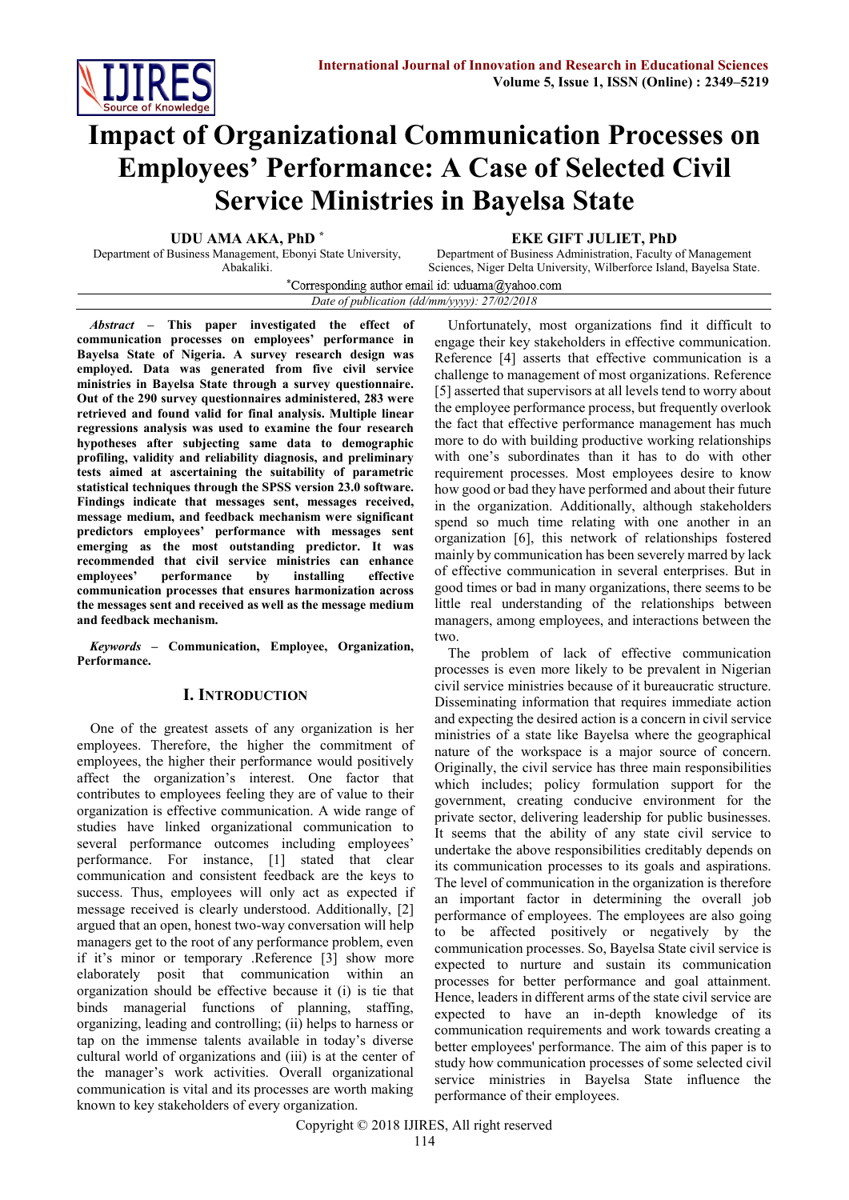

# **Impact of Organizational Communication Processes on Employees' Performance: A Case of Selected Civil Service Ministries in Bayelsa State**

**UDU AMA AKA, PhD \***

Department of Business Management, Ebonyi State University, Abakaliki.

**EKE GIFT JULIET, PhD**

Department of Business Administration, Faculty of Management Sciences, Niger Delta University, Wilberforce Island, Bayelsa State.

\*Corresponding author email id: uduama@yahoo.com *Date of publication (dd/mm/yyyy): 27/02/2018*

*Abstract* **– This paper investigated the effect of communication processes on employees' performance in Bayelsa State of Nigeria. A survey research design was employed. Data was generated from five civil service ministries in Bayelsa State through a survey questionnaire. Out of the 290 survey questionnaires administered, 283 were retrieved and found valid for final analysis. Multiple linear regressions analysis was used to examine the four research hypotheses after subjecting same data to demographic profiling, validity and reliability diagnosis, and preliminary tests aimed at ascertaining the suitability of parametric statistical techniques through the SPSS version 23.0 software. Findings indicate that messages sent, messages received, message medium, and feedback mechanism were significant predictors employees' performance with messages sent emerging as the most outstanding predictor. It was recommended that civil service ministries can enhance employees' performance by installing effective communication processes that ensures harmonization across the messages sent and received as well as the message medium and feedback mechanism.** 

*Keywords* **– Communication, Employee, Organization, Performance.**

# **I. INTRODUCTION**

One of the greatest assets of any organization is her employees. Therefore, the higher the commitment of employees, the higher their performance would positively affect the organization's interest. One factor that contributes to employees feeling they are of value to their organization is effective communication. A wide range of studies have linked organizational communication to several performance outcomes including employees' performance. For instance, [1] stated that clear communication and consistent feedback are the keys to success. Thus, employees will only act as expected if message received is clearly understood. Additionally, [2] argued that an open, honest two-way conversation will help managers get to the root of any performance problem, even if it's minor or temporary .Reference [3] show more elaborately posit that communication within an organization should be effective because it (i) is tie that binds managerial functions of planning, staffing, organizing, leading and controlling; (ii) helps to harness or tap on the immense talents available in today's diverse cultural world of organizations and (iii) is at the center of the manager's work activities. Overall organizational communication is vital and its processes are worth making known to key stakeholders of every organization.

Unfortunately, most organizations find it difficult to engage their key stakeholders in effective communication. Reference [4] asserts that effective communication is a challenge to management of most organizations. Reference [5] asserted that supervisors at all levels tend to worry about the employee performance process, but frequently overlook the fact that effective performance management has much more to do with building productive working relationships with one's subordinates than it has to do with other requirement processes. Most employees desire to know how good or bad they have performed and about their future in the organization. Additionally, although stakeholders spend so much time relating with one another in an organization [6], this network of relationships fostered mainly by communication has been severely marred by lack of effective communication in several enterprises. But in good times or bad in many organizations, there seems to be little real understanding of the relationships between managers, among employees, and interactions between the two.

The problem of lack of effective communication processes is even more likely to be prevalent in Nigerian civil service ministries because of it bureaucratic structure. Disseminating information that requires immediate action and expecting the desired action is a concern in civil service ministries of a state like Bayelsa where the geographical nature of the workspace is a major source of concern. Originally, the civil service has three main responsibilities which includes; policy formulation support for the government, creating conducive environment for the private sector, delivering leadership for public businesses. It seems that the ability of any state civil service to undertake the above responsibilities creditably depends on its communication processes to its goals and aspirations. The level of communication in the organization is therefore an important factor in determining the overall job performance of employees. The employees are also going to be affected positively or negatively by the communication processes. So, Bayelsa State civil service is expected to nurture and sustain its communication processes for better performance and goal attainment. Hence, leaders in different arms of the state civil service are expected to have an in-depth knowledge of its communication requirements and work towards creating a better employees' performance. The aim of this paper is to study how communication processes of some selected civil service ministries in Bayelsa State influence the performance of their employees.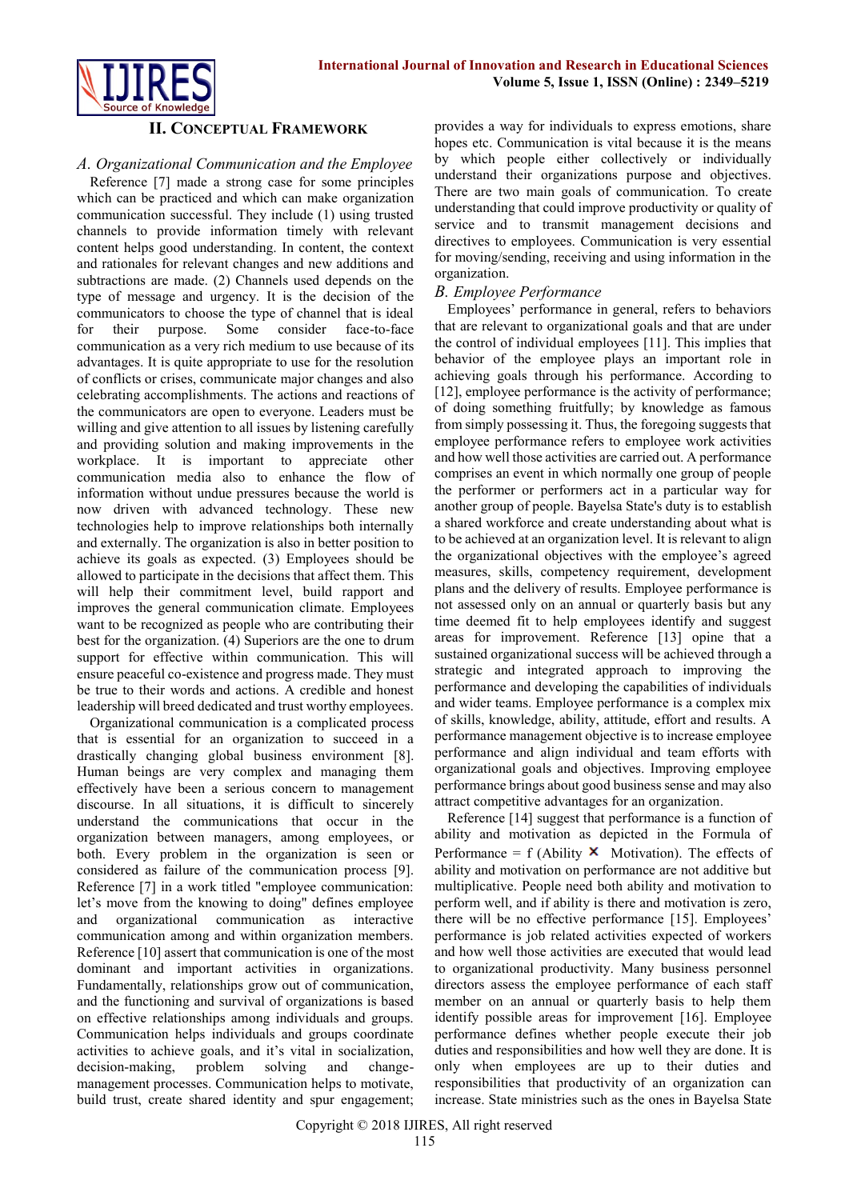

#### **II. CONCEPTUAL FRAMEWORK**

#### *A. Organizational Communication and the Employee*

Reference [7] made a strong case for some principles which can be practiced and which can make organization communication successful. They include (1) using trusted channels to provide information timely with relevant content helps good understanding. In content, the context and rationales for relevant changes and new additions and subtractions are made. (2) Channels used depends on the type of message and urgency. It is the decision of the communicators to choose the type of channel that is ideal for their purpose. Some consider face-to-face communication as a very rich medium to use because of its advantages. It is quite appropriate to use for the resolution of conflicts or crises, communicate major changes and also celebrating accomplishments. The actions and reactions of the communicators are open to everyone. Leaders must be willing and give attention to all issues by listening carefully and providing solution and making improvements in the workplace. It is important to appreciate other communication media also to enhance the flow of information without undue pressures because the world is now driven with advanced technology. These new technologies help to improve relationships both internally and externally. The organization is also in better position to achieve its goals as expected. (3) Employees should be allowed to participate in the decisions that affect them. This will help their commitment level, build rapport and improves the general communication climate. Employees want to be recognized as people who are contributing their best for the organization. (4) Superiors are the one to drum support for effective within communication. This will ensure peaceful co-existence and progress made. They must be true to their words and actions. A credible and honest leadership will breed dedicated and trust worthy employees.

Organizational communication is a complicated process that is essential for an organization to succeed in a drastically changing global business environment [8]. Human beings are very complex and managing them effectively have been a serious concern to management discourse. In all situations, it is difficult to sincerely understand the communications that occur in the organization between managers, among employees, or both. Every problem in the organization is seen or considered as failure of the communication process [9]. Reference [7] in a work titled "employee communication: let's move from the knowing to doing" defines employee and organizational communication as interactive communication among and within organization members. Reference [10] assert that communication is one of the most dominant and important activities in organizations. Fundamentally, relationships grow out of communication, and the functioning and survival of organizations is based on effective relationships among individuals and groups. Communication helps individuals and groups coordinate activities to achieve goals, and it's vital in socialization, decision-making, problem solving and changemanagement processes. Communication helps to motivate, build trust, create shared identity and spur engagement;

provides a way for individuals to express emotions, share hopes etc. Communication is vital because it is the means by which people either collectively or individually understand their organizations purpose and objectives. There are two main goals of communication. To create understanding that could improve productivity or quality of service and to transmit management decisions and directives to employees. Communication is very essential for moving/sending, receiving and using information in the organization.

#### *B. Employee Performance*

Employees' performance in general, refers to behaviors that are relevant to organizational goals and that are under the control of individual employees [11]. This implies that behavior of the employee plays an important role in achieving goals through his performance. According to [12], employee performance is the activity of performance; of doing something fruitfully; by knowledge as famous from simply possessing it. Thus, the foregoing suggests that employee performance refers to employee work activities and how well those activities are carried out. A performance comprises an event in which normally one group of people the performer or performers act in a particular way for another group of people. Bayelsa State's duty is to establish a shared workforce and create understanding about what is to be achieved at an organization level. It is relevant to align the organizational objectives with the employee's agreed measures, skills, competency requirement, development plans and the delivery of results. Employee performance is not assessed only on an annual or quarterly basis but any time deemed fit to help employees identify and suggest areas for improvement. Reference [13] opine that a sustained organizational success will be achieved through a strategic and integrated approach to improving the performance and developing the capabilities of individuals and wider teams. Employee performance is a complex mix of skills, knowledge, ability, attitude, effort and results. A performance management objective is to increase employee performance and align individual and team efforts with organizational goals and objectives. Improving employee performance brings about good business sense and may also attract competitive advantages for an organization.

Reference [14] suggest that performance is a function of ability and motivation as depicted in the Formula of Performance = f (Ability  $\mathsf{\times}$  Motivation). The effects of ability and motivation on performance are not additive but multiplicative. People need both ability and motivation to perform well, and if ability is there and motivation is zero, there will be no effective performance [15]. Employees' performance is job related activities expected of workers and how well those activities are executed that would lead to organizational productivity. Many business personnel directors assess the employee performance of each staff member on an annual or quarterly basis to help them identify possible areas for improvement [16]. Employee performance defines whether people execute their job duties and responsibilities and how well they are done. It is only when employees are up to their duties and responsibilities that productivity of an organization can increase. State ministries such as the ones in Bayelsa State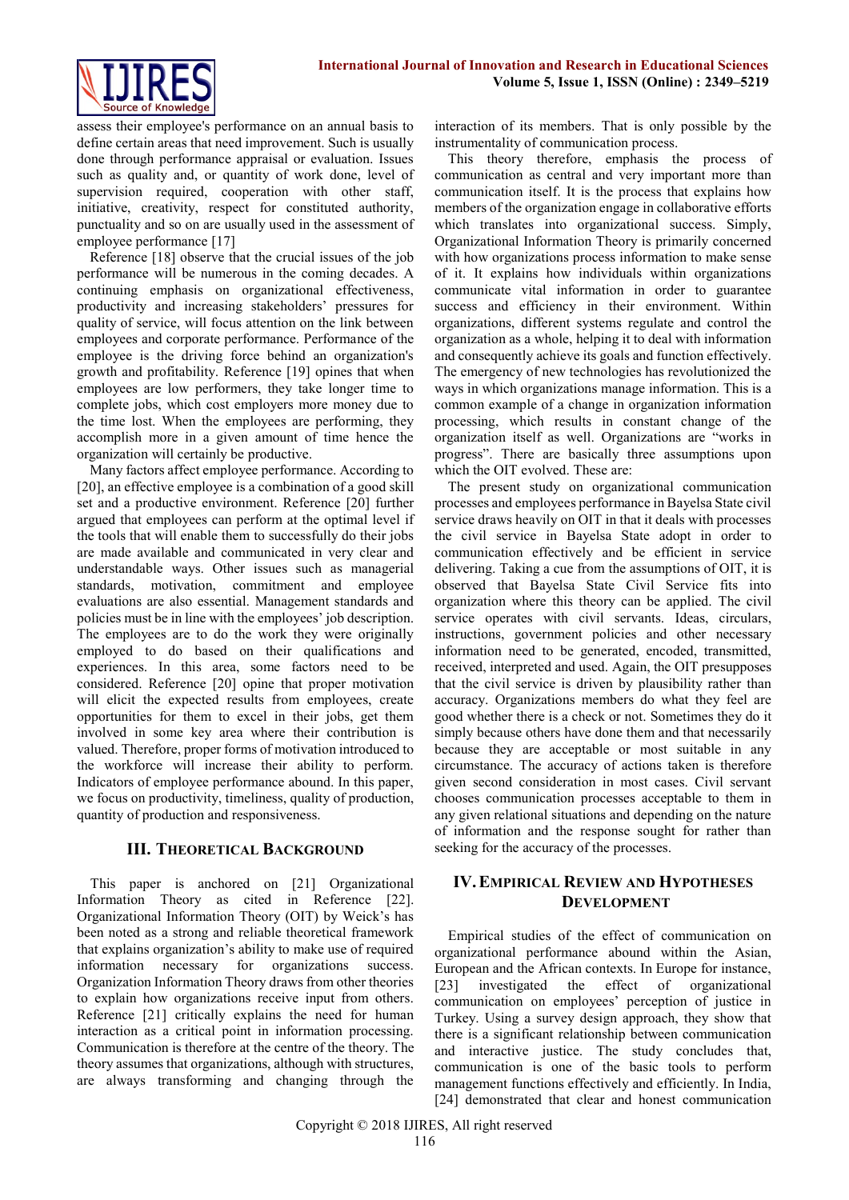

assess their employee's performance on an annual basis to define certain areas that need improvement. Such is usually done through performance appraisal or evaluation. Issues such as quality and, or quantity of work done, level of supervision required, cooperation with other staff, initiative, creativity, respect for constituted authority, punctuality and so on are usually used in the assessment of employee performance [17]

Reference [18] observe that the crucial issues of the job performance will be numerous in the coming decades. A continuing emphasis on organizational effectiveness, productivity and increasing stakeholders' pressures for quality of service, will focus attention on the link between employees and corporate performance. Performance of the employee is the driving force behind an organization's growth and profitability. Reference [19] opines that when employees are low performers, they take longer time to complete jobs, which cost employers more money due to the time lost. When the employees are performing, they accomplish more in a given amount of time hence the organization will certainly be productive.

Many factors affect employee performance. According to [20], an effective employee is a combination of a good skill set and a productive environment. Reference [20] further argued that employees can perform at the optimal level if the tools that will enable them to successfully do their jobs are made available and communicated in very clear and understandable ways. Other issues such as managerial standards, motivation, commitment and employee evaluations are also essential. Management standards and policies must be in line with the employees' job description. The employees are to do the work they were originally employed to do based on their qualifications and experiences. In this area, some factors need to be considered. Reference [20] opine that proper motivation will elicit the expected results from employees, create opportunities for them to excel in their jobs, get them involved in some key area where their contribution is valued. Therefore, proper forms of motivation introduced to the workforce will increase their ability to perform. Indicators of employee performance abound. In this paper, we focus on productivity, timeliness, quality of production, quantity of production and responsiveness.

## **III. THEORETICAL BACKGROUND**

This paper is anchored on [21] Organizational Information Theory as cited in Reference [22]. Organizational Information Theory (OIT) by Weick's has been noted as a strong and reliable theoretical framework that explains organization's ability to make use of required information necessary for organizations success. Organization Information Theory draws from other theories to explain how organizations receive input from others. Reference [21] critically explains the need for human interaction as a critical point in information processing. Communication is therefore at the centre of the theory. The theory assumes that organizations, although with structures, are always transforming and changing through the

interaction of its members. That is only possible by the instrumentality of communication process.

This theory therefore, emphasis the process of communication as central and very important more than communication itself. It is the process that explains how members of the organization engage in collaborative efforts which translates into organizational success. Simply, Organizational Information Theory is primarily concerned with how organizations process information to make sense of it. It explains how individuals within organizations communicate vital information in order to guarantee success and efficiency in their environment. Within organizations, different systems regulate and control the organization as a whole, helping it to deal with information and consequently achieve its goals and function effectively. The emergency of new technologies has revolutionized the ways in which organizations manage information. This is a common example of a change in organization information processing, which results in constant change of the organization itself as well. Organizations are "works in progress". There are basically three assumptions upon which the OIT evolved. These are:

The present study on organizational communication processes and employees performance in Bayelsa State civil service draws heavily on OIT in that it deals with processes the civil service in Bayelsa State adopt in order to communication effectively and be efficient in service delivering. Taking a cue from the assumptions of OIT, it is observed that Bayelsa State Civil Service fits into organization where this theory can be applied. The civil service operates with civil servants. Ideas, circulars, instructions, government policies and other necessary information need to be generated, encoded, transmitted, received, interpreted and used. Again, the OIT presupposes that the civil service is driven by plausibility rather than accuracy. Organizations members do what they feel are good whether there is a check or not. Sometimes they do it simply because others have done them and that necessarily because they are acceptable or most suitable in any circumstance. The accuracy of actions taken is therefore given second consideration in most cases. Civil servant chooses communication processes acceptable to them in any given relational situations and depending on the nature of information and the response sought for rather than seeking for the accuracy of the processes.

## **IV.EMPIRICAL REVIEW AND HYPOTHESES DEVELOPMENT**

Empirical studies of the effect of communication on organizational performance abound within the Asian, European and the African contexts. In Europe for instance, [23] investigated the effect of organizational communication on employees' perception of justice in Turkey. Using a survey design approach, they show that there is a significant relationship between communication and interactive justice. The study concludes that, communication is one of the basic tools to perform management functions effectively and efficiently. In India, [24] demonstrated that clear and honest communication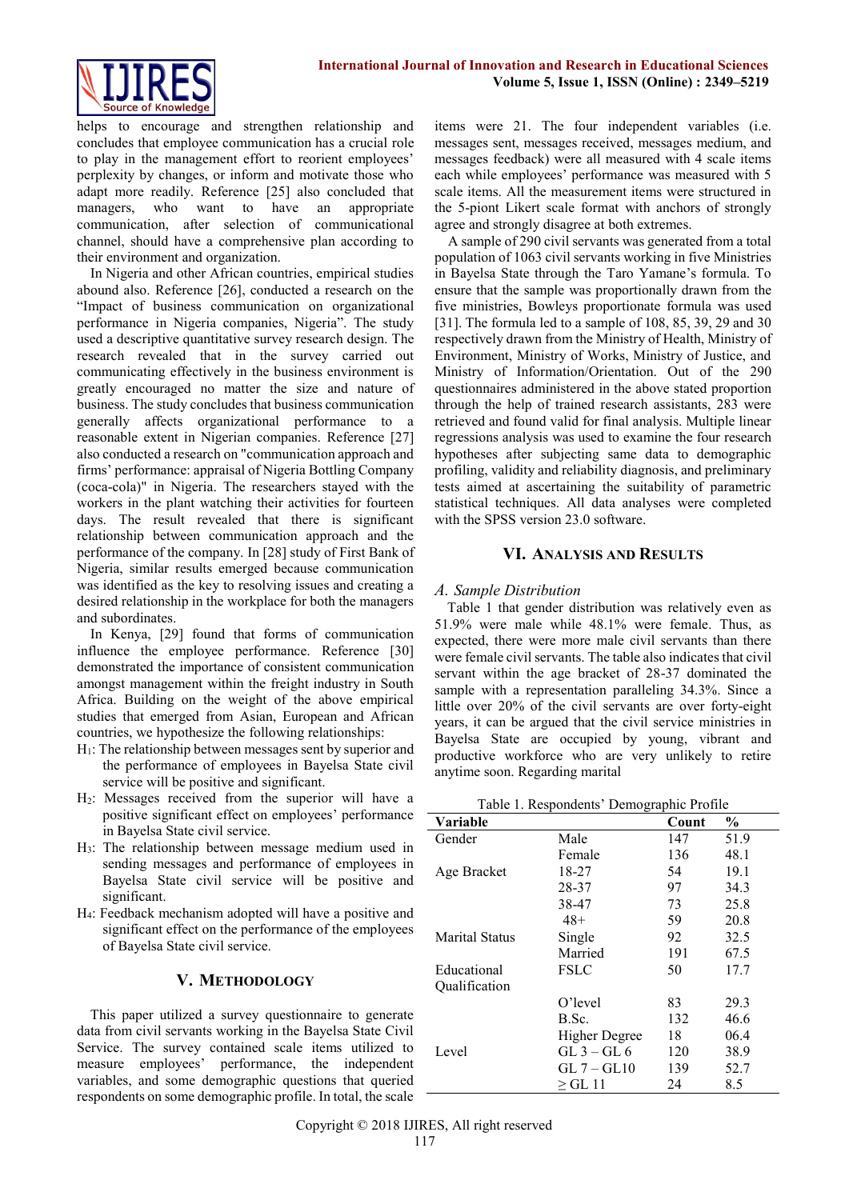

helps to encourage and strengthen relationship and concludes that employee communication has a crucial role to play in the management effort to reorient employees' perplexity by changes, or inform and motivate those who adapt more readily. Reference [25] also concluded that managers, who want to have an appropriate communication, after selection of communicational channel, should have a comprehensive plan according to their environment and organization.

In Nigeria and other African countries, empirical studies abound also. Reference [26], conducted a research on the "Impact of business communication on organizational performance in Nigeria companies, Nigeria". The study used a descriptive quantitative survey research design. The research revealed that in the survey carried out communicating effectively in the business environment is greatly encouraged no matter the size and nature of business. The study concludes that business communication generally affects organizational performance to a reasonable extent in Nigerian companies. Reference [27] also conducted a research on "communication approach and firms' performance: appraisal of Nigeria Bottling Company (coca-cola)" in Nigeria. The researchers stayed with the workers in the plant watching their activities for fourteen days. The result revealed that there is significant relationship between communication approach and the performance of the company. In [28] study of First Bank of Nigeria, similar results emerged because communication was identified as the key to resolving issues and creating a desired relationship in the workplace for both the managers and subordinates.

In Kenya, [29] found that forms of communication influence the employee performance. Reference [30] demonstrated the importance of consistent communication amongst management within the freight industry in South Africa. Building on the weight of the above empirical studies that emerged from Asian, European and African countries, we hypothesize the following relationships:

- H1: The relationship between messages sent by superior and the performance of employees in Bayelsa State civil service will be positive and significant.
- H2: Messages received from the superior will have a positive significant effect on employees' performance in Bayelsa State civil service.
- H3: The relationship between message medium used in sending messages and performance of employees in Bayelsa State civil service will be positive and significant.
- H4: Feedback mechanism adopted will have a positive and significant effect on the performance of the employees of Bayelsa State civil service.

#### **V. METHODOLOGY**

This paper utilized a survey questionnaire to generate data from civil servants working in the Bayelsa State Civil Service. The survey contained scale items utilized to measure employees' performance, the independent variables, and some demographic questions that queried respondents on some demographic profile. In total, the scale

items were 21. The four independent variables (i.e. messages sent, messages received, messages medium, and messages feedback) were all measured with 4 scale items each while employees' performance was measured with 5 scale items. All the measurement items were structured in the 5-piont Likert scale format with anchors of strongly agree and strongly disagree at both extremes.

A sample of 290 civil servants was generated from a total population of 1063 civil servants working in five Ministries in Bayelsa State through the Taro Yamane's formula. To ensure that the sample was proportionally drawn from the five ministries, Bowleys proportionate formula was used [31]. The formula led to a sample of 108, 85, 39, 29 and 30 respectively drawn from the Ministry of Health, Ministry of Environment, Ministry of Works, Ministry of Justice, and Ministry of Information/Orientation. Out of the 290 questionnaires administered in the above stated proportion through the help of trained research assistants, 283 were retrieved and found valid for final analysis. Multiple linear regressions analysis was used to examine the four research hypotheses after subjecting same data to demographic profiling, validity and reliability diagnosis, and preliminary tests aimed at ascertaining the suitability of parametric statistical techniques. All data analyses were completed with the SPSS version 23.0 software.

#### **VI. ANALYSIS AND RESULTS**

## *A. Sample Distribution*

Table 1 that gender distribution was relatively even as 51.9% were male while 48.1% were female. Thus, as expected, there were more male civil servants than there were female civil servants. The table also indicates that civil servant within the age bracket of 28-37 dominated the sample with a representation paralleling 34.3%. Since a little over 20% of the civil servants are over forty-eight years, it can be argued that the civil service ministries in Bayelsa State are occupied by young, vibrant and productive workforce who are very unlikely to retire anytime soon. Regarding marital

Table 1. Respondents' Demographic Profile

| Variable              | ı                    | Count | $\frac{0}{0}$ |
|-----------------------|----------------------|-------|---------------|
| Gender                | Male                 | 147   | 51.9          |
|                       | Female               | 136   | 48.1          |
| Age Bracket           | 18-27                | 54    | 19.1          |
|                       | 28-37                | 97    | 34.3          |
|                       | 38-47                | 73    | 25.8          |
|                       | $48+$                | 59    | 20.8          |
| <b>Marital Status</b> | Single               | 92    | 32.5          |
|                       | Married              | 191   | 67.5          |
| Educational           | <b>FSLC</b>          | 50    | 17.7          |
| Qualification         |                      |       |               |
|                       | O'level              | 83    | 29.3          |
|                       | B.Sc.                | 132   | 46.6          |
|                       | <b>Higher Degree</b> | 18    | 06.4          |
| Level                 | $GL_3 - GL_6$        | 120   | 38.9          |
|                       | $GL 7 - GL10$        | 139   | 52.7          |
|                       | > GL 11              | 24    | 8.5           |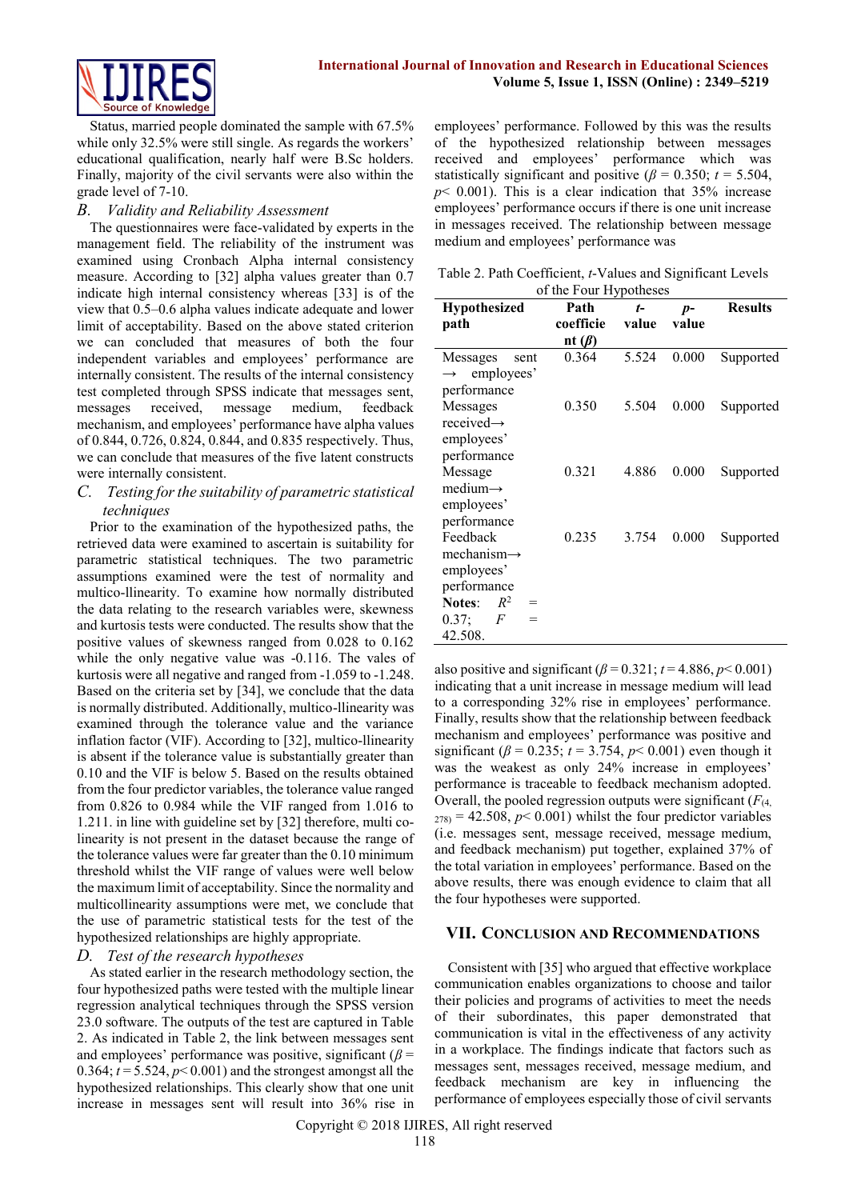

Status, married people dominated the sample with 67.5% while only 32.5% were still single. As regards the workers' educational qualification, nearly half were B.Sc holders. Finally, majority of the civil servants were also within the grade level of 7-10.

## *B. Validity and Reliability Assessment*

The questionnaires were face-validated by experts in the management field. The reliability of the instrument was examined using Cronbach Alpha internal consistency measure. According to [32] alpha values greater than 0.7 indicate high internal consistency whereas [33] is of the view that 0.5–0.6 alpha values indicate adequate and lower limit of acceptability. Based on the above stated criterion we can concluded that measures of both the four independent variables and employees' performance are internally consistent. The results of the internal consistency test completed through SPSS indicate that messages sent, messages received, message medium, feedback mechanism, and employees' performance have alpha values of 0.844, 0.726, 0.824, 0.844, and 0.835 respectively. Thus, we can conclude that measures of the five latent constructs were internally consistent.

#### *C. Testing for the suitability of parametric statistical techniques*

Prior to the examination of the hypothesized paths, the retrieved data were examined to ascertain is suitability for parametric statistical techniques. The two parametric assumptions examined were the test of normality and multico-llinearity. To examine how normally distributed the data relating to the research variables were, skewness and kurtosis tests were conducted. The results show that the positive values of skewness ranged from 0.028 to 0.162 while the only negative value was  $-0.116$ . The vales of kurtosis were all negative and ranged from -1.059 to -1.248. Based on the criteria set by [34], we conclude that the data is normally distributed. Additionally, multico-llinearity was examined through the tolerance value and the variance inflation factor (VIF). According to [32], multico-llinearity is absent if the tolerance value is substantially greater than 0.10 and the VIF is below 5. Based on the results obtained from the four predictor variables, the tolerance value ranged from 0.826 to 0.984 while the VIF ranged from 1.016 to 1.211. in line with guideline set by [32] therefore, multi colinearity is not present in the dataset because the range of the tolerance values were far greater than the 0.10 minimum threshold whilst the VIF range of values were well below the maximum limit of acceptability. Since the normality and multicollinearity assumptions were met, we conclude that the use of parametric statistical tests for the test of the hypothesized relationships are highly appropriate.

## *D. Test of the research hypotheses*

As stated earlier in the research methodology section, the four hypothesized paths were tested with the multiple linear regression analytical techniques through the SPSS version 23.0 software. The outputs of the test are captured in Table 2. As indicated in Table 2, the link between messages sent and employees' performance was positive, significant ( $\beta$  = 0.364;  $t = 5.524$ ,  $p < 0.001$ ) and the strongest amongst all the hypothesized relationships. This clearly show that one unit increase in messages sent will result into 36% rise in employees' performance. Followed by this was the results of the hypothesized relationship between messages received and employees' performance which was statistically significant and positive ( $\beta$  = 0.350; *t* = 5.504,  $p$  < 0.001). This is a clear indication that  $35\%$  increase employees' performance occurs if there is one unit increase in messages received. The relationship between message medium and employees' performance was

Table 2. Path Coefficient, *t*-Values and Significant Levels of the Four Hypotheses

| <b>Hypothesized</b>             | Path         | t-    | $p-$  | <b>Results</b> |
|---------------------------------|--------------|-------|-------|----------------|
| path                            | coefficie    | value | value |                |
|                                 | nt $(\beta)$ |       |       |                |
| Messages<br>sent                | 0.364        | 5.524 | 0.000 | Supported      |
| employees'<br>$\longrightarrow$ |              |       |       |                |
| performance                     |              |       |       |                |
| Messages                        | 0.350        | 5.504 | 0.000 | Supported      |
| received $\rightarrow$          |              |       |       |                |
| employees'                      |              |       |       |                |
| performance                     |              |       |       |                |
| Message                         | 0.321        | 4.886 | 0.000 | Supported      |
| $medium \rightarrow$            |              |       |       |                |
| employees'                      |              |       |       |                |
| performance                     |              |       |       |                |
| Feedback                        | 0.235        | 3.754 | 0.000 | Supported      |
| mechanism $\rightarrow$         |              |       |       |                |
| employees'                      |              |       |       |                |
| performance                     |              |       |       |                |
| $R^2$<br>Notes:<br>=            |              |       |       |                |
| 0.37;<br>F<br>$=$               |              |       |       |                |
| 42.508.                         |              |       |       |                |

also positive and significant ( $\beta$  = 0.321;  $t$  = 4.886,  $p$  < 0.001) indicating that a unit increase in message medium will lead to a corresponding 32% rise in employees' performance. Finally, results show that the relationship between feedback mechanism and employees' performance was positive and significant ( $\beta$  = 0.235;  $t$  = 3.754,  $p$  < 0.001) even though it was the weakest as only 24% increase in employees' performance is traceable to feedback mechanism adopted. Overall, the pooled regression outputs were significant  $(F_{(4, 4)})$  $_{278)}$  = 42.508,  $p$  < 0.001) whilst the four predictor variables (i.e. messages sent, message received, message medium, and feedback mechanism) put together, explained 37% of the total variation in employees' performance. Based on the above results, there was enough evidence to claim that all the four hypotheses were supported.

#### **VII. CONCLUSION AND RECOMMENDATIONS**

Consistent with [35] who argued that effective workplace communication enables organizations to choose and tailor their policies and programs of activities to meet the needs of their subordinates, this paper demonstrated that communication is vital in the effectiveness of any activity in a workplace. The findings indicate that factors such as messages sent, messages received, message medium, and feedback mechanism are key in influencing the performance of employees especially those of civil servants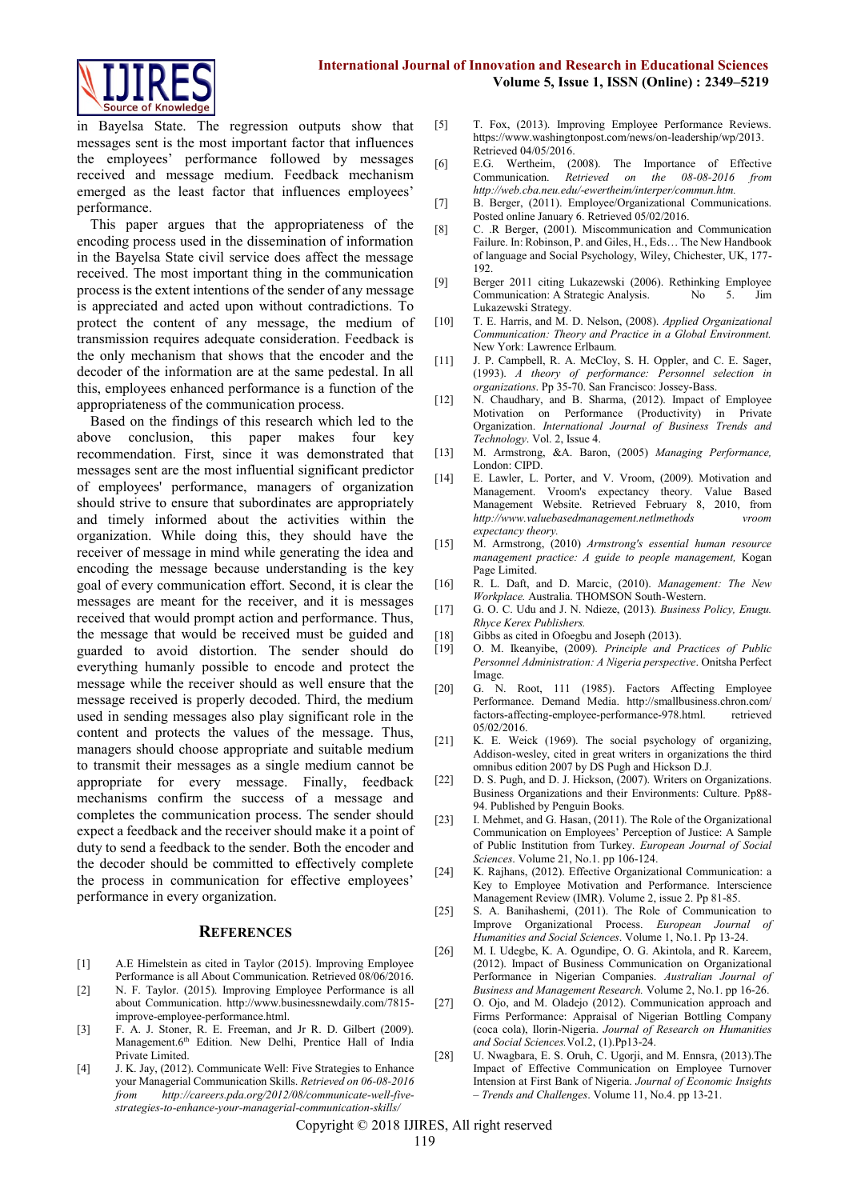

in Bayelsa State. The regression outputs show that messages sent is the most important factor that influences the employees' performance followed by messages received and message medium. Feedback mechanism emerged as the least factor that influences employees' performance.

This paper argues that the appropriateness of the encoding process used in the dissemination of information in the Bayelsa State civil service does affect the message received. The most important thing in the communication process is the extent intentions of the sender of any message is appreciated and acted upon without contradictions. To protect the content of any message, the medium of transmission requires adequate consideration. Feedback is the only mechanism that shows that the encoder and the decoder of the information are at the same pedestal. In all this, employees enhanced performance is a function of the appropriateness of the communication process.

Based on the findings of this research which led to the above conclusion, this paper makes four key recommendation. First, since it was demonstrated that messages sent are the most influential significant predictor of employees' performance, managers of organization should strive to ensure that subordinates are appropriately and timely informed about the activities within the organization. While doing this, they should have the receiver of message in mind while generating the idea and encoding the message because understanding is the key goal of every communication effort. Second, it is clear the messages are meant for the receiver, and it is messages received that would prompt action and performance. Thus, the message that would be received must be guided and guarded to avoid distortion. The sender should do everything humanly possible to encode and protect the message while the receiver should as well ensure that the message received is properly decoded. Third, the medium used in sending messages also play significant role in the content and protects the values of the message. Thus, managers should choose appropriate and suitable medium to transmit their messages as a single medium cannot be appropriate for every message. Finally, feedback mechanisms confirm the success of a message and completes the communication process. The sender should expect a feedback and the receiver should make it a point of duty to send a feedback to the sender. Both the encoder and the decoder should be committed to effectively complete the process in communication for effective employees' performance in every organization.

#### **REFERENCES**

- [1] A.E Himelstein as cited in Taylor (2015). Improving Employee Performance is all About Communication. Retrieved 08/06/2016.
- [2] N. F. Taylor. (2015). Improving Employee Performance is all about Communication. [http://www.businessnewdaily.com/7815](http://www.businessnewdaily.com/7815-improve-employee-performance.html) [improve-employee-performance.html.](http://www.businessnewdaily.com/7815-improve-employee-performance.html)
- [3] F. A. J. Stoner, R. E. Freeman, and Jr R. D. Gilbert (2009). Management.6<sup>th</sup> Edition. New Delhi, Prentice Hall of India Private Limited.
- [4] J. K. Jay, (2012). Communicate Well: Five Strategies to Enhance your Managerial Communication Skills. *Retrieved on 06-08-2016 from [http://careers.pda.org/2012/08/communicate-well-five](http://careers.pda.org/2012/08/communicate-well-five-strategies-to-enhance-your-managerial-communication-skills/)[strategies-to-enhance-your-managerial-communication-skills/](http://careers.pda.org/2012/08/communicate-well-five-strategies-to-enhance-your-managerial-communication-skills/)*
- [5] T. Fox, (2013). Improving Employee Performance Reviews. [https://www.washingtonpost.com/news/on-leadership/wp/2013.](https://www.washingtonpost.com/news/on-leadership/wp/2013.%20Retrieved%2004/05/2016)  [Retrieved 04/05/2016.](https://www.washingtonpost.com/news/on-leadership/wp/2013.%20Retrieved%2004/05/2016)
- [6] E.G. Wertheim, (2008). The Importance of Effective Communication. *Retrieved on the 08-08-2016 from [http://web.cba.neu.edu/-ew](ttp://web.cba.neu.edu/-e)ertheim/interper/commun.htm.*
- [7] B. Berger, (2011). Employee/Organizational Communications. Posted online January 6. Retrieved 05/02/2016.
- [8] C. .R Berger, (2001). Miscommunication and Communication Failure. In: Robinson, P. and Giles, H., Eds… The New Handbook of language and Social Psychology, Wiley, Chichester, UK, 177- 192.
- [9] Berger 2011 citing Lukazewski (2006). Rethinking Employee Communication: A Strategic Analysis. No 5. Jim Lukazewski Strategy.
- [10] T. E. Harris, and M. D. Nelson, (2008). *Applied Organizational Communication: Theory and Practice in a Global Environment.* New York: Lawrence Erlbaum.
- [11] J. P. Campbell, R. A. McCloy, S. H. Oppler, and C. E. Sager, (1993). *A theory of performance: Personnel selection in organizations*. Pp 35-70. San Francisco: Jossey-Bass.
- [12] N. Chaudhary, and B. Sharma, (2012). Impact of Employee Motivation on Performance (Productivity) in Private Organization. *International Journal of Business Trends and Technology*. Vol. 2, Issue 4.
- [13] M. Armstrong, &A. Baron, (2005) *Managing Performance,* London: CIPD.
- [14] E. Lawler, L. Porter, and V. Vroom, (2009). Motivation and Management. Vroom's expectancy theory. Value Based Management Website. Retrieved February 8, 2010, from *http://www.valuebasedmanagement.netlmethods vroom expectancy theory.*
- [15] M. Armstrong, (2010) *Armstrong's essential human resource management practice: A guide to people management,* Kogan Page Limited.
- [16] R. L. Daft, and D. Marcic, (2010). *Management: The New Workplace.* Australia. THOMSON South-Western.
- [17] G. O. C. Udu and J. N. Ndieze, (2013)*. Business Policy, Enugu. Rhyce Kerex Publishers.*
- [18] Gibbs as cited in Ofoegbu and Joseph (2013).
- [19] O. M. Ikeanyibe, (2009). *Principle and Practices of Public Personnel Administration: A Nigeria perspective*. Onitsha Perfect Image.
- [20] G. N. Root, 111 (1985). Factors Affecting Employee Performance. Demand Media. http://smallbusiness.chron.com/ factors-affecting-employee-performance-978.html. retrieved 05/02/2016.
- [21] K. E. Weick (1969). The social psychology of organizing, Addison-wesley, cited in great writers in organizations the third omnibus edition 2007 by DS Pugh and Hickson D.J.
- [22] D. S. Pugh, and D. J. Hickson, (2007). Writers on Organizations. Business Organizations and their Environments: Culture. Pp88- 94. Published by Penguin Books.
- [23] I. Mehmet, and G. Hasan, (2011). The Role of the Organizational Communication on Employees' Perception of Justice: A Sample of Public Institution from Turkey. *European Journal of Social Sciences*. Volume 21, No.1. pp 106-124.
- [24] K. Rajhans, (2012). Effective Organizational Communication: a Key to Employee Motivation and Performance. Interscience Management Review (IMR). Volume 2, issue 2. Pp 81-85.
- [25] S. A. Banihashemi, (2011). The Role of Communication to Improve Organizational Process. *European Journal of Humanities and Social Sciences*. Volume 1, No.1. Pp 13-24.
- [26] M. I. Udegbe, K. A. Ogundipe, O. G. Akintola, and R. Kareem, (2012). Impact of Business Communication on Organizational Performance in Nigerian Companies. *Australian Journal of Business and Management Research.* Volume 2, No.1. pp 16-26.
- [27] O. Ojo, and M. Oladejo (2012). Communication approach and Firms Performance: Appraisal of Nigerian Bottling Company (coca cola), Ilorin-Nigeria. *Journal of Research on Humanities and Social Sciences.*VoI.2, (1).Pp13-24.
- [28] U. Nwagbara, E. S. Oruh, C. Ugorji, and M. Ennsra, (2013).The Impact of Effective Communication on Employee Turnover Intension at First Bank of Nigeria. *Journal of Economic Insights – Trends and Challenges*. Volume 11, No.4. pp 13-21.

Copyright © 2018 IJIRES, All right reserved